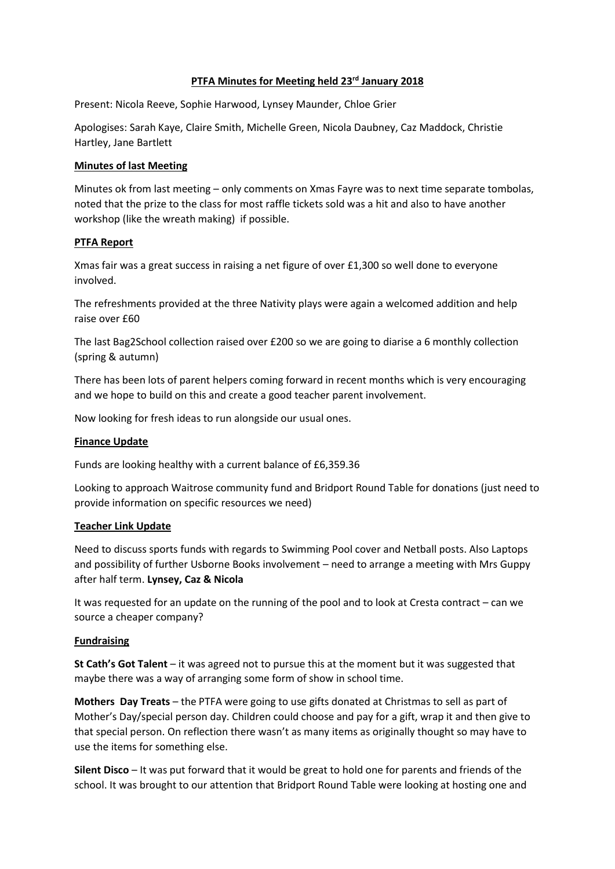#### **PTFA Minutes for Meeting held 23rd January 2018**

Present: Nicola Reeve, Sophie Harwood, Lynsey Maunder, Chloe Grier

Apologises: Sarah Kaye, Claire Smith, Michelle Green, Nicola Daubney, Caz Maddock, Christie Hartley, Jane Bartlett

### **Minutes of last Meeting**

Minutes ok from last meeting – only comments on Xmas Fayre was to next time separate tombolas, noted that the prize to the class for most raffle tickets sold was a hit and also to have another workshop (like the wreath making) if possible.

### **PTFA Report**

Xmas fair was a great success in raising a net figure of over £1,300 so well done to everyone involved.

The refreshments provided at the three Nativity plays were again a welcomed addition and help raise over £60

The last Bag2School collection raised over £200 so we are going to diarise a 6 monthly collection (spring & autumn)

There has been lots of parent helpers coming forward in recent months which is very encouraging and we hope to build on this and create a good teacher parent involvement.

Now looking for fresh ideas to run alongside our usual ones.

# **Finance Update**

Funds are looking healthy with a current balance of £6,359.36

Looking to approach Waitrose community fund and Bridport Round Table for donations (just need to provide information on specific resources we need)

#### **Teacher Link Update**

Need to discuss sports funds with regards to Swimming Pool cover and Netball posts. Also Laptops and possibility of further Usborne Books involvement – need to arrange a meeting with Mrs Guppy after half term. **Lynsey, Caz & Nicola**

It was requested for an update on the running of the pool and to look at Cresta contract – can we source a cheaper company?

# **Fundraising**

**St Cath's Got Talent** – it was agreed not to pursue this at the moment but it was suggested that maybe there was a way of arranging some form of show in school time.

**Mothers Day Treats** – the PTFA were going to use gifts donated at Christmas to sell as part of Mother's Day/special person day. Children could choose and pay for a gift, wrap it and then give to that special person. On reflection there wasn't as many items as originally thought so may have to use the items for something else.

**Silent Disco** – It was put forward that it would be great to hold one for parents and friends of the school. It was brought to our attention that Bridport Round Table were looking at hosting one and